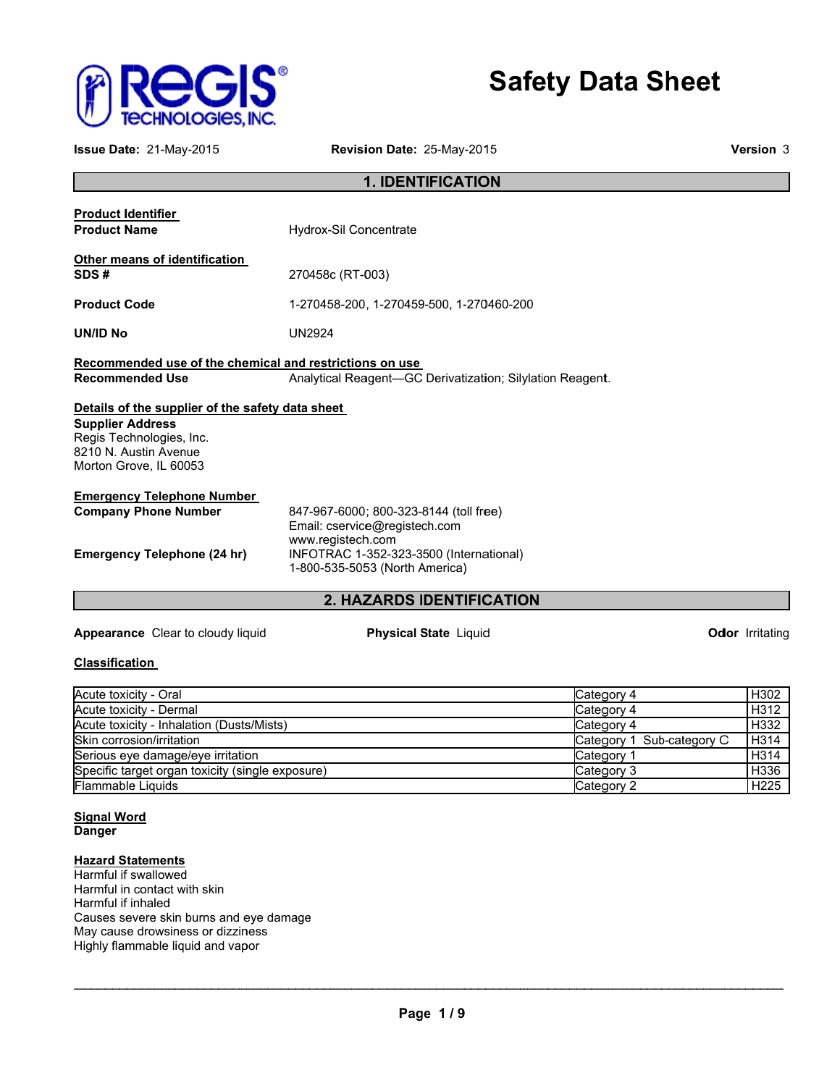

# **Safety Data Sheet**

| 'echnologies, INC.                                                                                                                                                                                                                                                 | <b>Safety Data Sheet</b>                                                                                                                                                  |                         |
|--------------------------------------------------------------------------------------------------------------------------------------------------------------------------------------------------------------------------------------------------------------------|---------------------------------------------------------------------------------------------------------------------------------------------------------------------------|-------------------------|
| Issue Date: 21-May-2015                                                                                                                                                                                                                                            | Revision Date: 25-May-2015                                                                                                                                                | <b>Version 3</b>        |
|                                                                                                                                                                                                                                                                    | <b>1. IDENTIFICATION</b>                                                                                                                                                  |                         |
| <b>Product Identifier</b><br><b>Product Name</b>                                                                                                                                                                                                                   | <b>Hydrox-Sil Concentrate</b>                                                                                                                                             |                         |
| Other means of identification<br>SDS#                                                                                                                                                                                                                              | 270458c (RT-003)                                                                                                                                                          |                         |
| <b>Product Code</b>                                                                                                                                                                                                                                                | 1-270458-200, 1-270459-500, 1-270460-200                                                                                                                                  |                         |
| UN/ID No                                                                                                                                                                                                                                                           | <b>UN2924</b>                                                                                                                                                             |                         |
| Recommended use of the chemical and restrictions on use<br><b>Recommended Use</b>                                                                                                                                                                                  | Analytical Reagent-GC Derivatization; Silylation Reagent.                                                                                                                 |                         |
| Details of the supplier of the safety data sheet<br><b>Supplier Address</b><br>Regis Technologies, Inc.<br>8210 N. Austin Avenue<br>Morton Grove, IL 60053                                                                                                         |                                                                                                                                                                           |                         |
| <b>Emergency Telephone Number</b><br><b>Company Phone Number</b><br><b>Emergency Telephone (24 hr)</b>                                                                                                                                                             | 847-967-6000; 800-323-8144 (toll free)<br>Email: cservice@registech.com<br>www.registech.com<br>INFOTRAC 1-352-323-3500 (International)<br>1-800-535-5053 (North America) |                         |
|                                                                                                                                                                                                                                                                    | 2. HAZARDS IDENTIFICATION                                                                                                                                                 |                         |
| Appearance Clear to cloudy liquid                                                                                                                                                                                                                                  | <b>Physical State Liquid</b>                                                                                                                                              | <b>Odlor</b> Irritating |
| <b>Classification</b>                                                                                                                                                                                                                                              |                                                                                                                                                                           |                         |
| Acute toxicity - Oral<br>Acute toxicity - Dermal                                                                                                                                                                                                                   | Category 4<br>Category 4                                                                                                                                                  | H302<br>H312            |
| Acute toxicity - Inhalation (Dusts/Mists)<br>Skin corrosion/irritation                                                                                                                                                                                             | Category 4                                                                                                                                                                | H332                    |
| Serious eye damage/eye irritation                                                                                                                                                                                                                                  | Category 1 Sub-category C<br>Category 1                                                                                                                                   | H314<br>H314            |
| Specific target organ toxicity (single exposure)                                                                                                                                                                                                                   | Category 3                                                                                                                                                                | H336                    |
| Flammable Liquids                                                                                                                                                                                                                                                  | Category 2                                                                                                                                                                | H225                    |
| <b>Signal Word</b><br><b>Danger</b><br><b>Hazard Statements</b><br>Harmful if swallowed<br>Harmful in contact with skin<br>Harmful if inhaled<br>Causes severe skin burns and eye damage<br>May cause drowsiness or dizziness<br>Highly flammable liquid and vapor |                                                                                                                                                                           |                         |

### **Classification**

| Acute toxicity - Oral                            | Category 4                | H <sub>302</sub> |
|--------------------------------------------------|---------------------------|------------------|
| Acute toxicity - Dermal                          | Category 4                | H312             |
| Acute toxicity - Inhalation (Dusts/Mists)        | Category 4                | H332             |
| Skin corrosion/irritation                        | Category 1 Sub-category C | H314             |
| Serious eye damage/eye irritation                | / Category                | H314             |
| Specific target organ toxicity (single exposure) | Category 3                | H336             |
| <b>Flammable Liquids</b>                         | Category 2                | H <sub>225</sub> |

#### **S Si ig gn na al W Wo rd Danger** <u>Bignal Word</u><br>Danger<br>Hazard Statements <u>d</u><br>te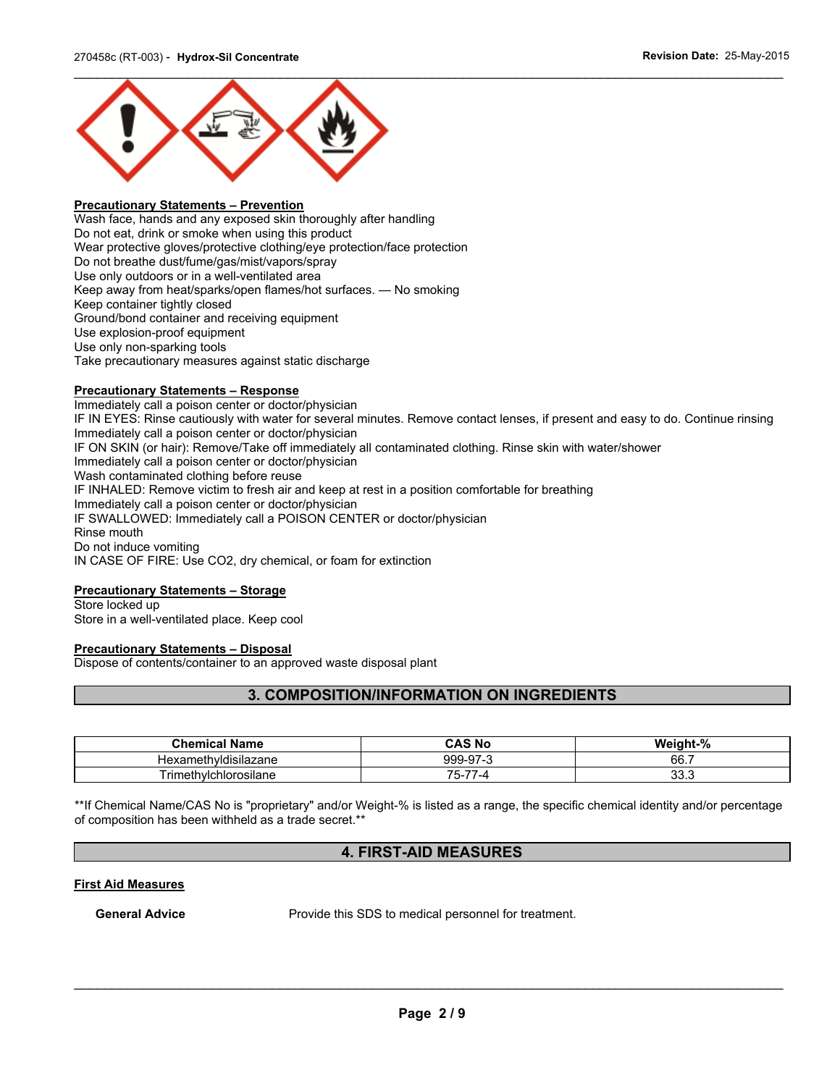

#### **Precautionary Statements – Prevention**

Wash face, hands and any exposed skin thoroughly after handling Do not eat, drink or smoke when using this product Wear protective gloves/protective clothing/eye protection/face protection Do not breathe dust/fume/gas/mist/vapors/spray Use only outdoors or in a well-ventilated area Keep away from heat/sparks/open flames/hot surfaces. — No smoking Keep container tightly closed Ground/bond container and receiving equipment Use explosion-proof equipment Use only non-sparking tools Take precautionary measures against static discharge

#### **Precautionary Statements – Response**

Immediately call a poison center or doctor/physician IF IN EYES: Rinse cautiously with water for several minutes. Remove contact lenses, if present and easy to do. Continue rinsing Immediately call a poison center or doctor/physician IF ON SKIN (or hair): Remove/Take off immediately all contaminated clothing. Rinse skin with water/shower Immediately call a poison center or doctor/physician Wash contaminated clothing before reuse IF INHALED: Remove victim to fresh air and keep at rest in a position comfortable for breathing Immediately call a poison center or doctor/physician IF SWALLOWED: Immediately call a POISON CENTER or doctor/physician Rinse mouth Do not induce vomiting IN CASE OF FIRE: Use CO2, dry chemical, or foam for extinction

### **Precautionary Statements – Storage**

Store locked up Store in a well-ventilated place. Keep cool

### **Precautionary Statements – Disposal**

Dispose of contents/container to an approved waste disposal plant

### **3. COMPOSITION/INFORMATION ON INGREDIENTS**

| <b>Chemical Name</b>                             | <b>CAS No</b>   | Weight-%    |
|--------------------------------------------------|-----------------|-------------|
| .<br>. .<br>.neth*<br>hvidisilazane<br>1exar     | 999-97-3        | 66.7        |
| $\overline{\phantom{0}}$<br>rimethylchlorosilane | --<br>Э÷.<br>-4 | n n<br>ບບ.ເ |

\*\*If Chemical Name/CAS No is "proprietary" and/or Weight-% is listed as a range, the specific chemical identity and/or percentage of composition has been withheld as a trade secret.\*\*

### **4. FIRST-AID MEASURES**

#### **First Aid Measures**

**General Advice** Provide this SDS to medical personnel for treatment.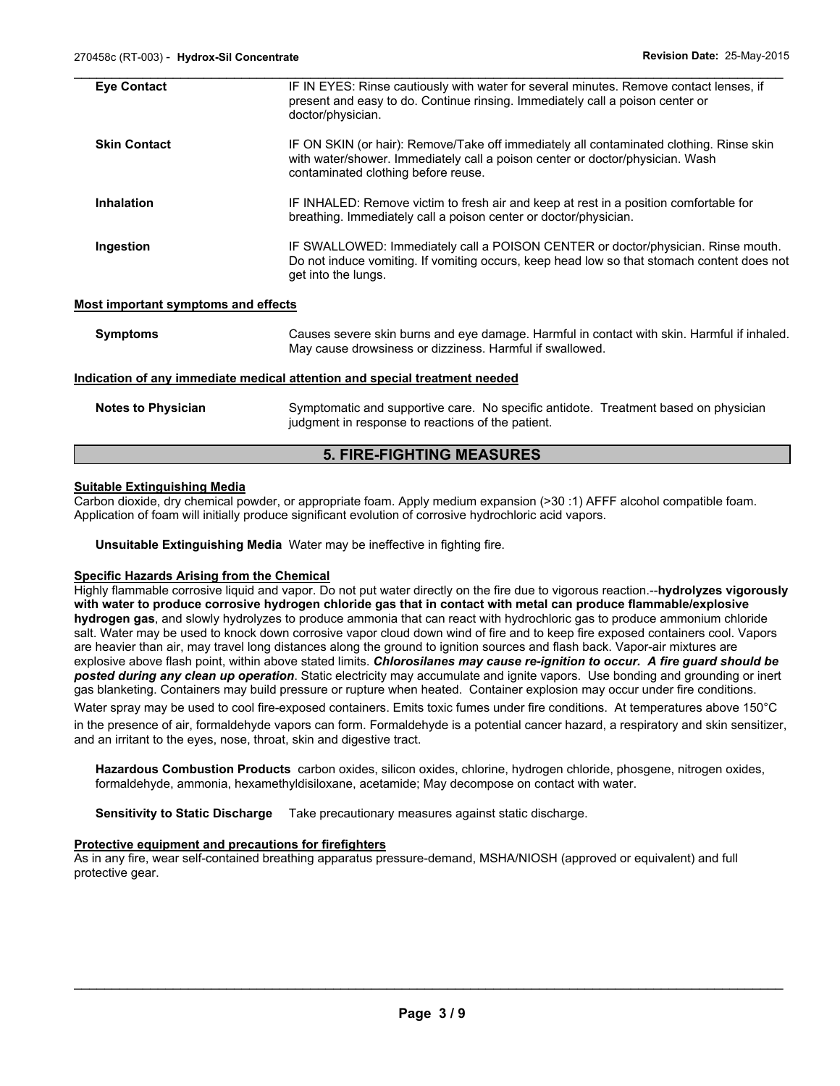| <b>Eye Contact</b>                         | IF IN EYES: Rinse cautiously with water for several minutes. Remove contact lenses, if<br>present and easy to do. Continue rinsing. Immediately call a poison center or<br>doctor/physician.                    |
|--------------------------------------------|-----------------------------------------------------------------------------------------------------------------------------------------------------------------------------------------------------------------|
| <b>Skin Contact</b>                        | IF ON SKIN (or hair): Remove/Take off immediately all contaminated clothing. Rinse skin<br>with water/shower. Immediately call a poison center or doctor/physician. Wash<br>contaminated clothing before reuse. |
| <b>Inhalation</b>                          | IF INHALED: Remove victim to fresh air and keep at rest in a position comfortable for<br>breathing. Immediately call a poison center or doctor/physician.                                                       |
| Ingestion                                  | IF SWALLOWED: Immediately call a POISON CENTER or doctor/physician. Rinse mouth.<br>Do not induce vomiting. If vomiting occurs, keep head low so that stomach content does not<br>get into the lungs.           |
| <b>Most important symptoms and effects</b> |                                                                                                                                                                                                                 |
| <b>Symptoms</b>                            | Causes severe skin burns and eye damage. Harmful in contact with skin. Harmful if inhaled.<br>May cause drowsiness or dizziness. Harmful if swallowed.                                                          |
|                                            | Indication of any immediate medical attention and special treatment needed                                                                                                                                      |
| <b>Notes to Physician</b>                  | Symptomatic and supportive care. No specific antidote. Treatment based on physician                                                                                                                             |

#### **5. FIRE-FIGHTING MEASURES**

#### **Suitable Extinguishing Media**

Carbon dioxide, dry chemical powder, or appropriate foam. Apply medium expansion (>30 :1) AFFF alcohol compatible foam. Application of foam will initially produce significant evolution of corrosive hydrochloric acid vapors.

judgment in response to reactions of the patient.

**Unsuitable Extinguishing Media** Water may be ineffective in fighting fire.

#### **Specific Hazards Arising from the Chemical**

Highly flammable corrosive liquid and vapor. Do not put water directly on the fire due to vigorous reaction.--**hydrolyzes vigorously with water to produce corrosive hydrogen chloride gas that in contact with metal can produce flammable/explosive hydrogen gas**, and slowly hydrolyzes to produce ammonia that can react with hydrochloric gas to produce ammonium chloride salt. Water may be used to knock down corrosive vapor cloud down wind of fire and to keep fire exposed containers cool. Vapors are heavier than air, may travel long distances along the ground to ignition sources and flash back. Vapor-air mixtures are explosive above flash point, within above stated limits. *Chlorosilanes may cause re-ignition to occur. A fire guard should be posted during any clean up operation*. Static electricity may accumulate and ignite vapors. Use bonding and grounding or inert gas blanketing. Containers may build pressure or rupture when heated. Container explosion may occur under fire conditions.

Water spray may be used to cool fire-exposed containers. Emits toxic fumes under fire conditions. At temperatures above 150°C in the presence of air, formaldehyde vapors can form. Formaldehyde is a potential cancer hazard, a respiratory and skin sensitizer, and an irritant to the eyes, nose, throat, skin and digestive tract.

**Hazardous Combustion Products** carbon oxides, silicon oxides, chlorine, hydrogen chloride, phosgene, nitrogen oxides, formaldehyde, ammonia, hexamethyldisiloxane, acetamide; May decompose on contact with water.

**Sensitivity to Static Discharge** Take precautionary measures against static discharge.

#### **Protective equipment and precautions for firefighters**

As in any fire, wear self-contained breathing apparatus pressure-demand, MSHA/NIOSH (approved or equivalent) and full protective gear.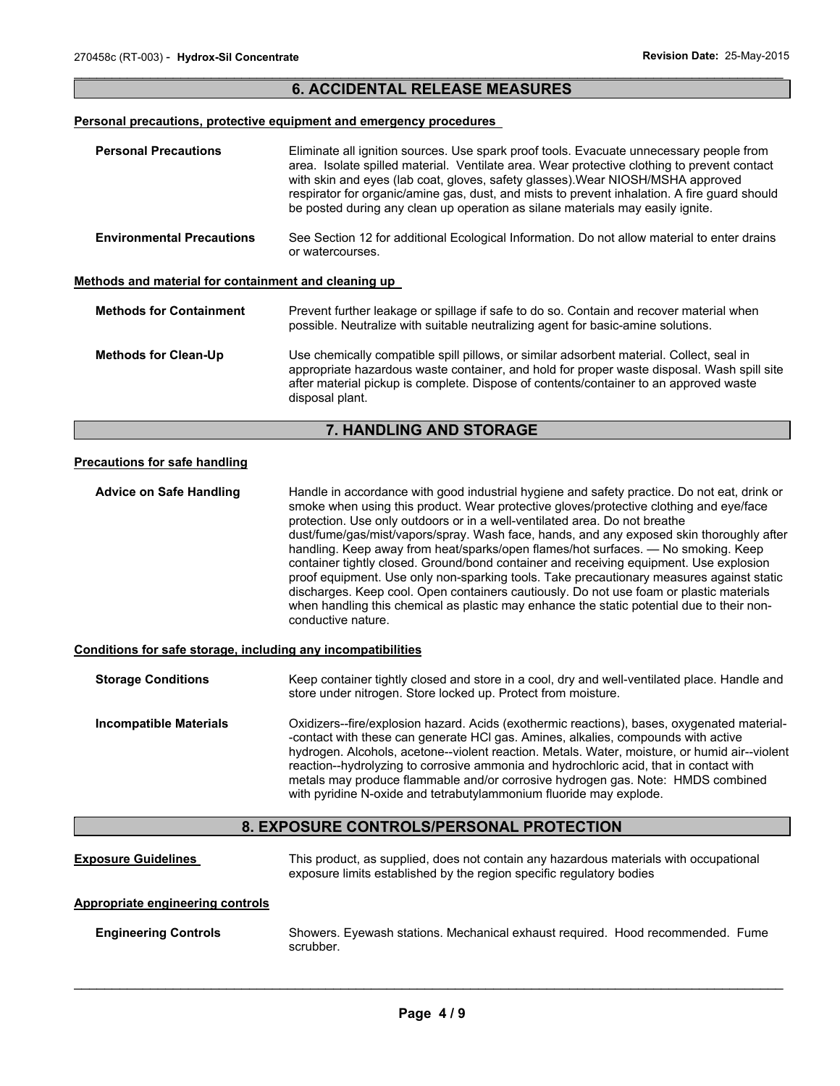### $\mathcal{L}_\mathcal{L} = \{ \mathcal{L}_\mathcal{L} = \{ \mathcal{L}_\mathcal{L} = \{ \mathcal{L}_\mathcal{L} = \{ \mathcal{L}_\mathcal{L} = \{ \mathcal{L}_\mathcal{L} = \{ \mathcal{L}_\mathcal{L} = \{ \mathcal{L}_\mathcal{L} = \{ \mathcal{L}_\mathcal{L} = \{ \mathcal{L}_\mathcal{L} = \{ \mathcal{L}_\mathcal{L} = \{ \mathcal{L}_\mathcal{L} = \{ \mathcal{L}_\mathcal{L} = \{ \mathcal{L}_\mathcal{L} = \{ \mathcal{L}_\mathcal{$ **6. ACCIDENTAL RELEASE MEASURES**

### **Personal precautions, protective equipment and emergency procedures**

| <b>Personal Precautions</b>                                  | Eliminate all ignition sources. Use spark proof tools. Evacuate unnecessary people from<br>area. Isolate spilled material. Ventilate area. Wear protective clothing to prevent contact<br>with skin and eyes (lab coat, gloves, safety glasses). Wear NIOSH/MSHA approved<br>respirator for organic/amine gas, dust, and mists to prevent inhalation. A fire guard should<br>be posted during any clean up operation as silane materials may easily ignite.                                                                                                                                                                                                                                                                                                                                                                                              |  |
|--------------------------------------------------------------|----------------------------------------------------------------------------------------------------------------------------------------------------------------------------------------------------------------------------------------------------------------------------------------------------------------------------------------------------------------------------------------------------------------------------------------------------------------------------------------------------------------------------------------------------------------------------------------------------------------------------------------------------------------------------------------------------------------------------------------------------------------------------------------------------------------------------------------------------------|--|
| <b>Environmental Precautions</b>                             | See Section 12 for additional Ecological Information. Do not allow material to enter drains<br>or watercourses.                                                                                                                                                                                                                                                                                                                                                                                                                                                                                                                                                                                                                                                                                                                                          |  |
| Methods and material for containment and cleaning up         |                                                                                                                                                                                                                                                                                                                                                                                                                                                                                                                                                                                                                                                                                                                                                                                                                                                          |  |
| <b>Methods for Containment</b>                               | Prevent further leakage or spillage if safe to do so. Contain and recover material when<br>possible. Neutralize with suitable neutralizing agent for basic-amine solutions.                                                                                                                                                                                                                                                                                                                                                                                                                                                                                                                                                                                                                                                                              |  |
| <b>Methods for Clean-Up</b>                                  | Use chemically compatible spill pillows, or similar adsorbent material. Collect, seal in<br>appropriate hazardous waste container, and hold for proper waste disposal. Wash spill site<br>after material pickup is complete. Dispose of contents/container to an approved waste<br>disposal plant.                                                                                                                                                                                                                                                                                                                                                                                                                                                                                                                                                       |  |
|                                                              | 7. HANDLING AND STORAGE                                                                                                                                                                                                                                                                                                                                                                                                                                                                                                                                                                                                                                                                                                                                                                                                                                  |  |
| <b>Precautions for safe handling</b>                         |                                                                                                                                                                                                                                                                                                                                                                                                                                                                                                                                                                                                                                                                                                                                                                                                                                                          |  |
| <b>Advice on Safe Handling</b>                               | Handle in accordance with good industrial hygiene and safety practice. Do not eat, drink or<br>smoke when using this product. Wear protective gloves/protective clothing and eye/face<br>protection. Use only outdoors or in a well-ventilated area. Do not breathe<br>dust/fume/gas/mist/vapors/spray. Wash face, hands, and any exposed skin thoroughly after<br>handling. Keep away from heat/sparks/open flames/hot surfaces. — No smoking. Keep<br>container tightly closed. Ground/bond container and receiving equipment. Use explosion<br>proof equipment. Use only non-sparking tools. Take precautionary measures against static<br>discharges. Keep cool. Open containers cautiously. Do not use foam or plastic materials<br>when handling this chemical as plastic may enhance the static potential due to their non-<br>conductive nature. |  |
| Conditions for safe storage, including any incompatibilities |                                                                                                                                                                                                                                                                                                                                                                                                                                                                                                                                                                                                                                                                                                                                                                                                                                                          |  |
| <b>Storage Conditions</b>                                    | Keep container tightly closed and store in a cool, dry and well-ventilated place. Handle and<br>store under nitrogen. Store locked up. Protect from moisture.                                                                                                                                                                                                                                                                                                                                                                                                                                                                                                                                                                                                                                                                                            |  |
| <b>Incompatible Materials</b>                                | Oxidizers--fire/explosion hazard. Acids (exothermic reactions), bases, oxygenated material-<br>-contact with these can generate HCI gas. Amines, alkalies, compounds with active<br>hydrogen. Alcohols, acetone--violent reaction. Metals. Water, moisture, or humid air--violent<br>reaction--hydrolyzing to corrosive ammonia and hydrochloric acid, that in contact with<br>metals may produce flammable and/or corrosive hydrogen gas. Note: HMDS combined<br>with pyridine N-oxide and tetrabutylammonium fluoride may explode.                                                                                                                                                                                                                                                                                                                     |  |
|                                                              | 8. EXPOSURE CONTROLS/PERSONAL PROTECTION                                                                                                                                                                                                                                                                                                                                                                                                                                                                                                                                                                                                                                                                                                                                                                                                                 |  |
| <b>Exposure Guidelines</b>                                   | This product, as supplied, does not contain any hazardous materials with occupational<br>exposure limits established by the region specific regulatory bodies                                                                                                                                                                                                                                                                                                                                                                                                                                                                                                                                                                                                                                                                                            |  |
| <b>Appropriate engineering controls</b>                      |                                                                                                                                                                                                                                                                                                                                                                                                                                                                                                                                                                                                                                                                                                                                                                                                                                                          |  |
| <b>Engineering Controls</b>                                  | Showers. Eyewash stations. Mechanical exhaust required. Hood recommended. Fume                                                                                                                                                                                                                                                                                                                                                                                                                                                                                                                                                                                                                                                                                                                                                                           |  |

 $\mathcal{L}_\mathcal{L} = \{ \mathcal{L}_\mathcal{L} = \{ \mathcal{L}_\mathcal{L} = \{ \mathcal{L}_\mathcal{L} = \{ \mathcal{L}_\mathcal{L} = \{ \mathcal{L}_\mathcal{L} = \{ \mathcal{L}_\mathcal{L} = \{ \mathcal{L}_\mathcal{L} = \{ \mathcal{L}_\mathcal{L} = \{ \mathcal{L}_\mathcal{L} = \{ \mathcal{L}_\mathcal{L} = \{ \mathcal{L}_\mathcal{L} = \{ \mathcal{L}_\mathcal{L} = \{ \mathcal{L}_\mathcal{L} = \{ \mathcal{L}_\mathcal{$ 

scrubber.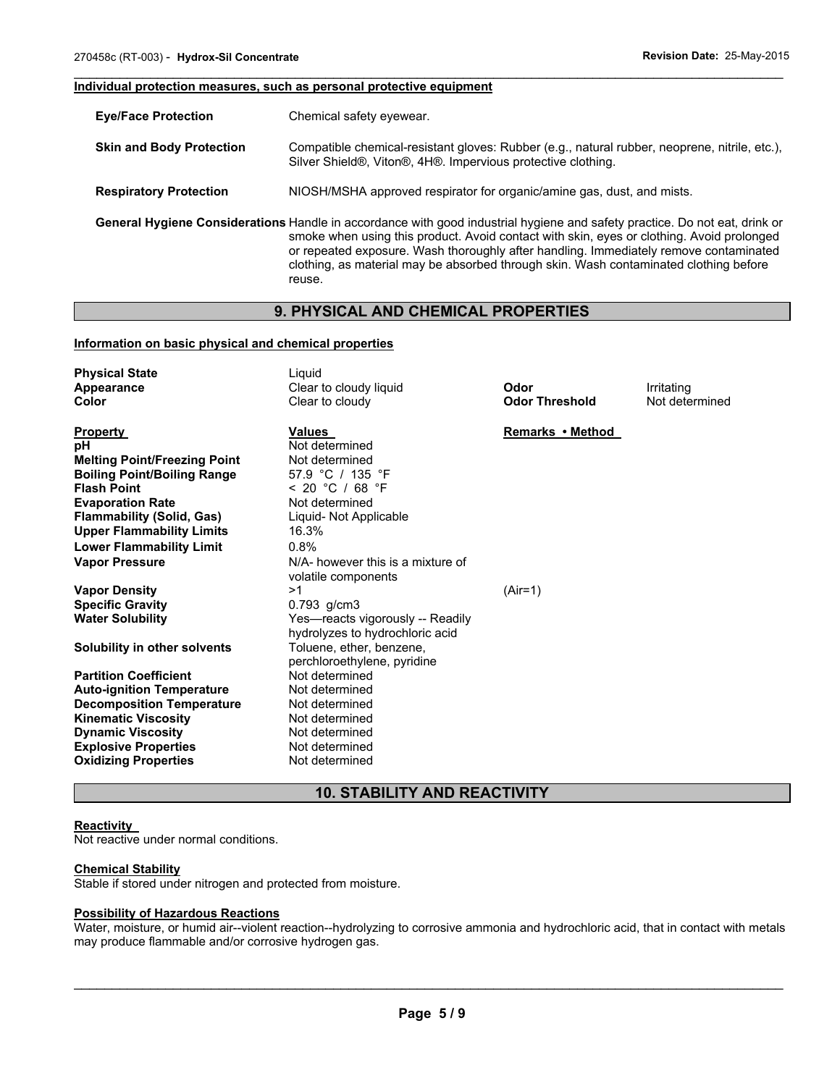#### **Individual protection measures, such as personal protective equipment**

| <b>Eye/Face Protection</b>      | Chemical safety eyewear.                                                                                                                                                                                                                                                                                                                                                                                            |
|---------------------------------|---------------------------------------------------------------------------------------------------------------------------------------------------------------------------------------------------------------------------------------------------------------------------------------------------------------------------------------------------------------------------------------------------------------------|
| <b>Skin and Body Protection</b> | Compatible chemical-resistant gloves: Rubber (e.g., natural rubber, neoprene, nitrile, etc.),<br>Silver Shield®, Viton®, 4H®. Impervious protective clothing.                                                                                                                                                                                                                                                       |
| <b>Respiratory Protection</b>   | NIOSH/MSHA approved respirator for organic/amine gas, dust, and mists.                                                                                                                                                                                                                                                                                                                                              |
|                                 | General Hygiene Considerations Handle in accordance with good industrial hygiene and safety practice. Do not eat, drink or<br>smoke when using this product. Avoid contact with skin, eyes or clothing. Avoid prolonged<br>or repeated exposure. Wash thoroughly after handling. Immediately remove contaminated<br>clothing, as material may be absorbed through skin. Wash contaminated clothing before<br>reuse. |

 $\mathcal{L}_\mathcal{L} = \{ \mathcal{L}_\mathcal{L} = \{ \mathcal{L}_\mathcal{L} = \{ \mathcal{L}_\mathcal{L} = \{ \mathcal{L}_\mathcal{L} = \{ \mathcal{L}_\mathcal{L} = \{ \mathcal{L}_\mathcal{L} = \{ \mathcal{L}_\mathcal{L} = \{ \mathcal{L}_\mathcal{L} = \{ \mathcal{L}_\mathcal{L} = \{ \mathcal{L}_\mathcal{L} = \{ \mathcal{L}_\mathcal{L} = \{ \mathcal{L}_\mathcal{L} = \{ \mathcal{L}_\mathcal{L} = \{ \mathcal{L}_\mathcal{$ 

### **9. PHYSICAL AND CHEMICAL PROPERTIES**

#### **Information on basic physical and chemical properties**

| <b>Physical State</b><br>Appearance<br>Color                              | Liquid<br>Clear to cloudy liquid<br>Clear to cloudy                 | Odor<br><b>Odor Threshold</b> | Irritating<br>Not determined |
|---------------------------------------------------------------------------|---------------------------------------------------------------------|-------------------------------|------------------------------|
| <b>Property</b><br>рH                                                     | <b>Values</b><br>Not determined<br>Not determined                   | Remarks • Method              |                              |
| <b>Melting Point/Freezing Point</b><br><b>Boiling Point/Boiling Range</b> | 57.9 °C / 135 °F                                                    |                               |                              |
| <b>Flash Point</b>                                                        | < 20 °C / 68 °F                                                     |                               |                              |
| <b>Evaporation Rate</b>                                                   | Not determined                                                      |                               |                              |
| <b>Flammability (Solid, Gas)</b>                                          | Liquid- Not Applicable                                              |                               |                              |
| <b>Upper Flammability Limits</b>                                          | 16.3%                                                               |                               |                              |
| <b>Lower Flammability Limit</b>                                           | 0.8%                                                                |                               |                              |
| <b>Vapor Pressure</b>                                                     | N/A- however this is a mixture of<br>volatile components            |                               |                              |
| <b>Vapor Density</b>                                                      | >1                                                                  | $(Air=1)$                     |                              |
| <b>Specific Gravity</b>                                                   | $0.793$ g/cm3                                                       |                               |                              |
| <b>Water Solubility</b>                                                   | Yes-reacts vigorously -- Readily<br>hydrolyzes to hydrochloric acid |                               |                              |
| Solubility in other solvents                                              | Toluene, ether, benzene,<br>perchloroethylene, pyridine             |                               |                              |
| <b>Partition Coefficient</b>                                              | Not determined                                                      |                               |                              |
| <b>Auto-ignition Temperature</b>                                          | Not determined                                                      |                               |                              |
| <b>Decomposition Temperature</b>                                          | Not determined                                                      |                               |                              |
| <b>Kinematic Viscosity</b>                                                | Not determined                                                      |                               |                              |
| <b>Dynamic Viscosity</b>                                                  | Not determined                                                      |                               |                              |
| <b>Explosive Properties</b>                                               | Not determined                                                      |                               |                              |
| <b>Oxidizing Properties</b>                                               | Not determined                                                      |                               |                              |

### **10. STABILITY AND REACTIVITY**

### **Reactivity**

Not reactive under normal conditions.

#### **Chemical Stability**

Stable if stored under nitrogen and protected from moisture.

#### **Possibility of Hazardous Reactions**

Water, moisture, or humid air--violent reaction--hydrolyzing to corrosive ammonia and hydrochloric acid, that in contact with metals may produce flammable and/or corrosive hydrogen gas.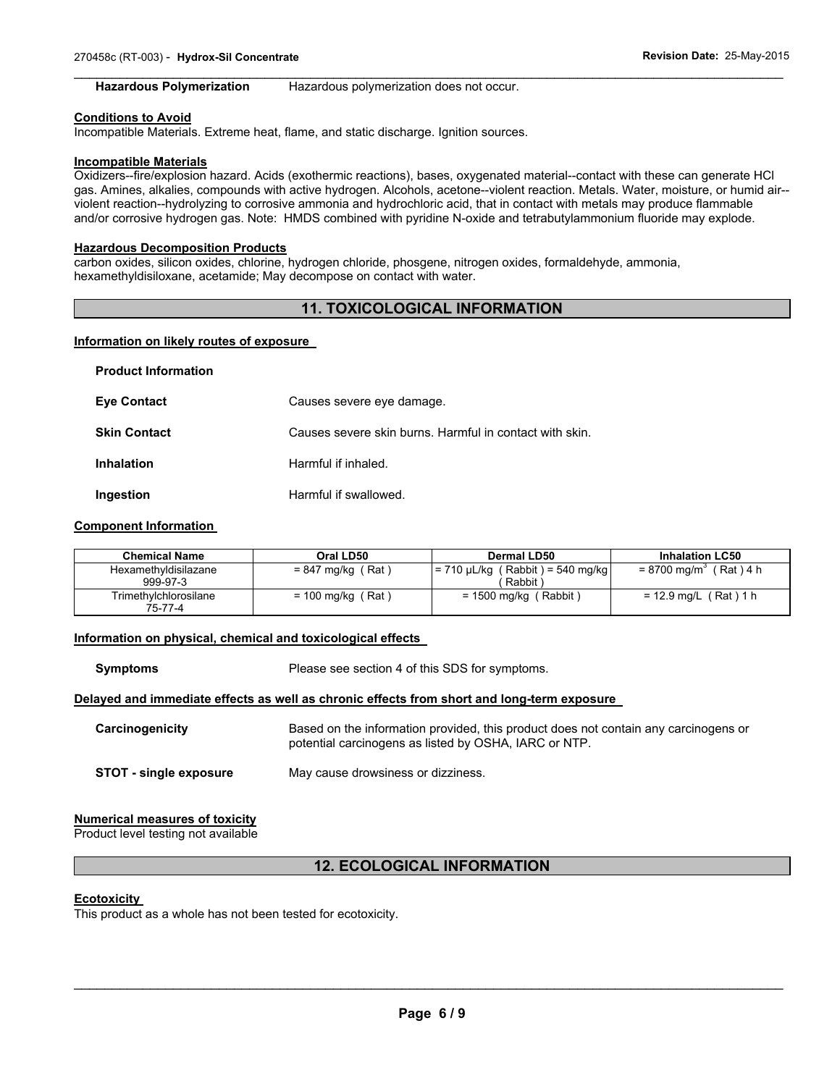#### $\mathcal{L}_\mathcal{L} = \{ \mathcal{L}_\mathcal{L} = \{ \mathcal{L}_\mathcal{L} = \{ \mathcal{L}_\mathcal{L} = \{ \mathcal{L}_\mathcal{L} = \{ \mathcal{L}_\mathcal{L} = \{ \mathcal{L}_\mathcal{L} = \{ \mathcal{L}_\mathcal{L} = \{ \mathcal{L}_\mathcal{L} = \{ \mathcal{L}_\mathcal{L} = \{ \mathcal{L}_\mathcal{L} = \{ \mathcal{L}_\mathcal{L} = \{ \mathcal{L}_\mathcal{L} = \{ \mathcal{L}_\mathcal{L} = \{ \mathcal{L}_\mathcal{$ **Hazardous Polymerization** Hazardous polymerization does not occur.

#### **Conditions to Avoid**

Incompatible Materials. Extreme heat, flame, and static discharge. Ignition sources.

#### **Incompatible Materials**

Oxidizers--fire/explosion hazard. Acids (exothermic reactions), bases, oxygenated material--contact with these can generate HCl gas. Amines, alkalies, compounds with active hydrogen. Alcohols, acetone--violent reaction. Metals. Water, moisture, or humid air- violent reaction--hydrolyzing to corrosive ammonia and hydrochloric acid, that in contact with metals may produce flammable and/or corrosive hydrogen gas. Note: HMDS combined with pyridine N-oxide and tetrabutylammonium fluoride may explode.

#### **Hazardous Decomposition Products**

carbon oxides, silicon oxides, chlorine, hydrogen chloride, phosgene, nitrogen oxides, formaldehyde, ammonia, hexamethyldisiloxane, acetamide; May decompose on contact with water.

### **11. TOXICOLOGICAL INFORMATION**

#### **Information on likely routes of exposure**

| <b>Product Information</b> |                                                         |
|----------------------------|---------------------------------------------------------|
| <b>Eye Contact</b>         | Causes severe eye damage.                               |
| <b>Skin Contact</b>        | Causes severe skin burns. Harmful in contact with skin. |
| Inhalation                 | Harmful if inhaled.                                     |
| Ingestion                  | Harmful if swallowed.                                   |

#### **Component Information**

| <b>Chemical Name</b>             | Oral LD50           | Dermal LD50                                      | <b>Inhalation LC50</b>               |
|----------------------------------|---------------------|--------------------------------------------------|--------------------------------------|
| Hexamethyldisilazane<br>999-97-3 | $= 847$ mg/kg (Rat) | $= 710 \mu L/kg$ (Rabbit) = 540 mg/kg<br>Rabbit) | $= 8700$ mg/m <sup>3</sup> (Rat) 4 h |
| Trimethylchlorosilane<br>75-77-4 | $= 100$ mg/kg (Rat) | $= 1500$ mg/kg (Rabbit)                          | $= 12.9$ mg/L (Rat) 1 h              |

#### **Information on physical, chemical and toxicological effects**

**Symptoms** Please see section 4 of this SDS for symptoms.

#### **Delayed and immediate effects as well as chronic effects from short and long-term exposure**

| Carcinogenicity               | Based on the information provided, this product does not contain any carcinogens or<br>potential carcinogens as listed by OSHA, IARC or NTP. |
|-------------------------------|----------------------------------------------------------------------------------------------------------------------------------------------|
| <b>STOT - single exposure</b> | May cause drowsiness or dizziness.                                                                                                           |

#### **Numerical measures of toxicity**

Product level testing not available

### **12. ECOLOGICAL INFORMATION**

#### **Ecotoxicity**

This product as a whole has not been tested for ecotoxicity.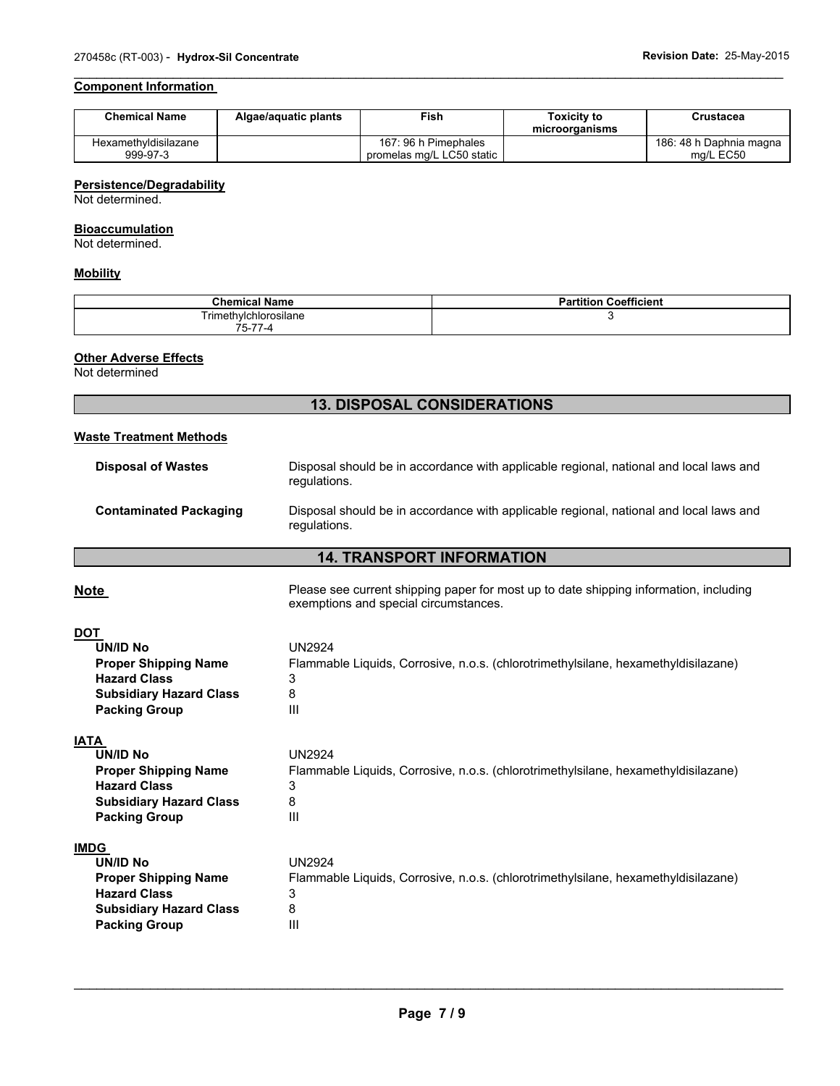### **Component Information**

| <b>Chemical Name</b> | Algae/aguatic plants | Fish                      | Toxicitv to<br>microorganisms | Crustacea               |
|----------------------|----------------------|---------------------------|-------------------------------|-------------------------|
| Hexamethyldisilazane |                      | 167: 96 h Pimephales      |                               | 186: 48 h Daphnia magna |
| 999-97-3             |                      | promelas mg/L LC50 static |                               | ma/L EC50               |

 $\mathcal{L}_\mathcal{L} = \{ \mathcal{L}_\mathcal{L} = \{ \mathcal{L}_\mathcal{L} = \{ \mathcal{L}_\mathcal{L} = \{ \mathcal{L}_\mathcal{L} = \{ \mathcal{L}_\mathcal{L} = \{ \mathcal{L}_\mathcal{L} = \{ \mathcal{L}_\mathcal{L} = \{ \mathcal{L}_\mathcal{L} = \{ \mathcal{L}_\mathcal{L} = \{ \mathcal{L}_\mathcal{L} = \{ \mathcal{L}_\mathcal{L} = \{ \mathcal{L}_\mathcal{L} = \{ \mathcal{L}_\mathcal{L} = \{ \mathcal{L}_\mathcal{$ 

#### **Persistence/Degradability**

Not determined.

#### **Bioaccumulation**

Not determined.

### **Mobility**

| <b>Chemical Name</b>    | <b>Partition Coefficient</b> |
|-------------------------|------------------------------|
| Trimethylchlorosilane   |                              |
| --<br>$- -$<br>. 5-77-4 |                              |

## **Other Adverse Effects**

Not determined

### **13. DISPOSAL CONSIDERATIONS**

| <b>13. DISPOSAL CONSIDERATIONS</b>                                                                                                             |                                                                                                                                 |  |  |  |  |
|------------------------------------------------------------------------------------------------------------------------------------------------|---------------------------------------------------------------------------------------------------------------------------------|--|--|--|--|
| <b>Waste Treatment Methods</b>                                                                                                                 |                                                                                                                                 |  |  |  |  |
| <b>Disposal of Wastes</b>                                                                                                                      | Disposal should be in accordance with applicable regional, national and local laws and<br>requlations.                          |  |  |  |  |
| <b>Contaminated Packaging</b>                                                                                                                  | Disposal should be in accordance with applicable regional, national and local laws and<br>regulations.                          |  |  |  |  |
| <b>14. TRANSPORT INFORMATION</b>                                                                                                               |                                                                                                                                 |  |  |  |  |
| <u>Note</u>                                                                                                                                    | Please see current shipping paper for most up to date shipping information, including<br>exemptions and special circumstances.  |  |  |  |  |
| <b>DOT</b><br><b>UN/ID No</b><br><b>Proper Shipping Name</b><br><b>Hazard Class</b><br><b>Subsidiary Hazard Class</b><br><b>Packing Group</b>  | <b>UN2924</b><br>Flammable Liquids, Corrosive, n.o.s. (chlorotrimethylsilane, hexamethyldisilazane)<br>3<br>8<br>$\mathbf{III}$ |  |  |  |  |
| <b>IATA</b><br><b>UN/ID No</b><br><b>Proper Shipping Name</b><br><b>Hazard Class</b><br><b>Subsidiary Hazard Class</b><br><b>Packing Group</b> | <b>UN2924</b><br>Flammable Liquids, Corrosive, n.o.s. (chlorotrimethylsilane, hexamethyldisilazane)<br>3<br>8<br>$\mathbf{III}$ |  |  |  |  |
| <b>IMDG</b><br><b>UN/ID No</b><br><b>Proper Shipping Name</b><br><b>Hazard Class</b><br><b>Subsidiary Hazard Class</b><br><b>Packing Group</b> | <b>UN2924</b><br>Flammable Liquids, Corrosive, n.o.s. (chlorotrimethylsilane, hexamethyldisilazane)<br>3<br>8<br>$\mathbf{III}$ |  |  |  |  |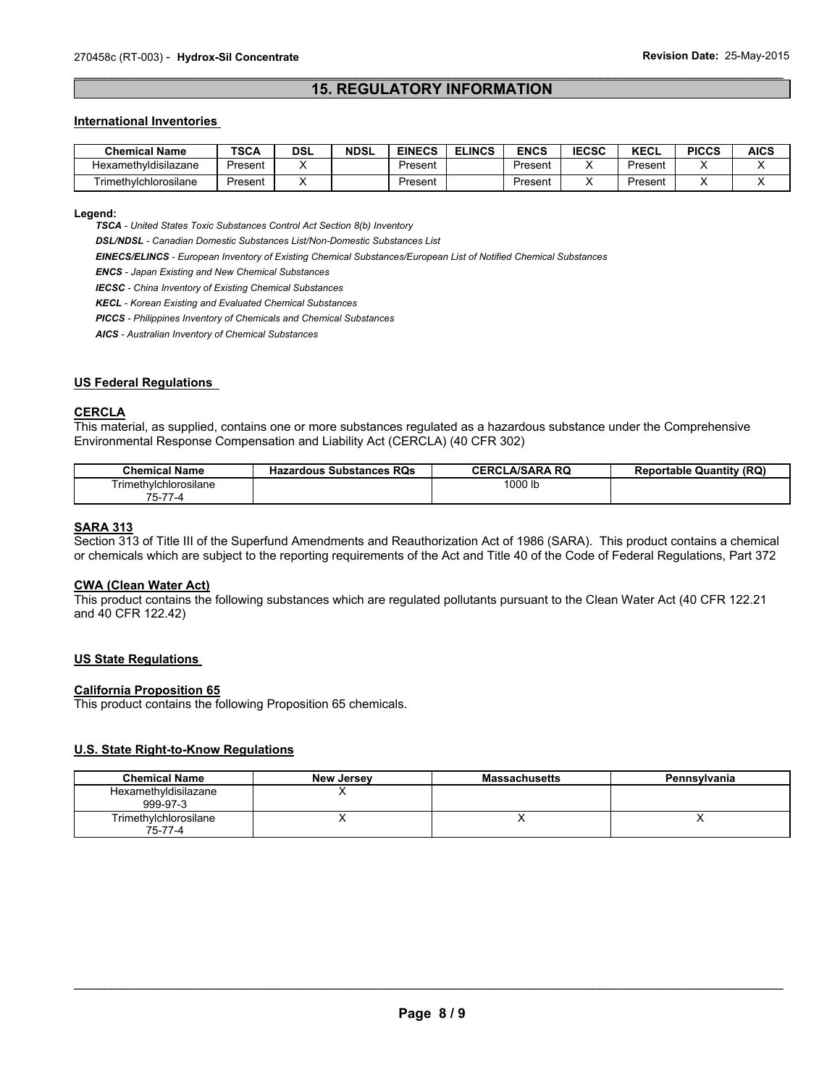### $\mathcal{L}_\mathcal{L} = \{ \mathcal{L}_\mathcal{L} = \{ \mathcal{L}_\mathcal{L} = \{ \mathcal{L}_\mathcal{L} = \{ \mathcal{L}_\mathcal{L} = \{ \mathcal{L}_\mathcal{L} = \{ \mathcal{L}_\mathcal{L} = \{ \mathcal{L}_\mathcal{L} = \{ \mathcal{L}_\mathcal{L} = \{ \mathcal{L}_\mathcal{L} = \{ \mathcal{L}_\mathcal{L} = \{ \mathcal{L}_\mathcal{L} = \{ \mathcal{L}_\mathcal{L} = \{ \mathcal{L}_\mathcal{L} = \{ \mathcal{L}_\mathcal{$ **15. REGULATORY INFORMATION**

#### **International Inventories**

| <b>Chemical Name</b>  | TSCA    | DSL | <b>NDSL</b> | <b>EINECS</b> | <b>ELINCS</b> | <b>ENCS</b> | <b>IECSC</b> | KECL    | <b>PICCS</b> | <b>AICS</b> |
|-----------------------|---------|-----|-------------|---------------|---------------|-------------|--------------|---------|--------------|-------------|
| Hexamethyldisilazane  | Present |     |             | Present       |               | Present     |              | Present |              |             |
| Trimethylchlorosilane | Present |     |             | Present       |               | Present     |              | Present |              |             |

#### **Legend:**

*TSCA - United States Toxic Substances Control Act Section 8(b) Inventory* 

*DSL/NDSL - Canadian Domestic Substances List/Non-Domestic Substances List* 

*EINECS/ELINCS - European Inventory of Existing Chemical Substances/European List of Notified Chemical Substances* 

*ENCS - Japan Existing and New Chemical Substances* 

*IECSC - China Inventory of Existing Chemical Substances* 

*KECL - Korean Existing and Evaluated Chemical Substances* 

*PICCS - Philippines Inventory of Chemicals and Chemical Substances* 

*AICS - Australian Inventory of Chemical Substances* 

#### **US Federal Regulations**

#### **CERCLA**

This material, as supplied, contains one or more substances regulated as a hazardous substance under the Comprehensive Environmental Response Compensation and Liability Act (CERCLA) (40 CFR 302)

| <b>Chemical Name</b>  | <b>Hazardous Substances RQs</b> | <b>CERCLA/SARA RO</b> | <b>Reportable Quantity (RQ)</b> |
|-----------------------|---------------------------------|-----------------------|---------------------------------|
| Trimethylchlorosilane |                                 | 1000 lb               |                                 |
| $75 -$<br>$- -$       |                                 |                       |                                 |

#### **SARA 313**

Section 313 of Title III of the Superfund Amendments and Reauthorization Act of 1986 (SARA). This product contains a chemical or chemicals which are subject to the reporting requirements of the Act and Title 40 of the Code of Federal Regulations, Part 372

#### **CWA (Clean Water Act)**

This product contains the following substances which are regulated pollutants pursuant to the Clean Water Act (40 CFR 122.21 and 40 CFR 122.42)

#### **US State Regulations**

#### **California Proposition 65**

This product contains the following Proposition 65 chemicals.

### **U.S. State Right-to-Know Regulations**

| <b>Chemical Name</b>             | New Jersey | <b>Massachusetts</b> | Pennsylvania |
|----------------------------------|------------|----------------------|--------------|
| Hexamethyldisilazane<br>999-97-3 |            |                      |              |
| Trimethylchlorosilane<br>75-77-4 |            |                      |              |